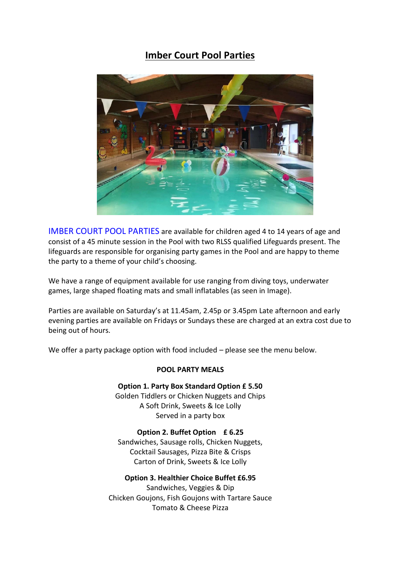## **Imber Court Pool Parties**



IMBER COURT POOL PARTIES are available for children aged 4 to 14 years of age and consist of a 45 minute session in the Pool with two RLSS qualified Lifeguards present. The lifeguards are responsible for organising party games in the Pool and are happy to theme the party to a theme of your child's choosing.

We have a range of equipment available for use ranging from diving toys, underwater games, large shaped floating mats and small inflatables (as seen in Image).

Parties are available on Saturday's at 11.45am, 2.45p or 3.45pm Late afternoon and early evening parties are available on Fridays or Sundays these are charged at an extra cost due to being out of hours.

We offer a party package option with food included – please see the menu below.

## **POOL PARTY MEALS**

**Option 1. Party Box Standard Option £ 5.50** Golden Tiddlers or Chicken Nuggets and Chips A Soft Drink, Sweets & Ice Lolly Served in a party box

**Option 2. Buffet Option £ 6.25** Sandwiches, Sausage rolls, Chicken Nuggets, Cocktail Sausages, Pizza Bite & Crisps Carton of Drink, Sweets & Ice Lolly

**Option 3. Healthier Choice Buffet £6.95** Sandwiches, Veggies & Dip Chicken Goujons, Fish Goujons with Tartare Sauce Tomato & Cheese Pizza